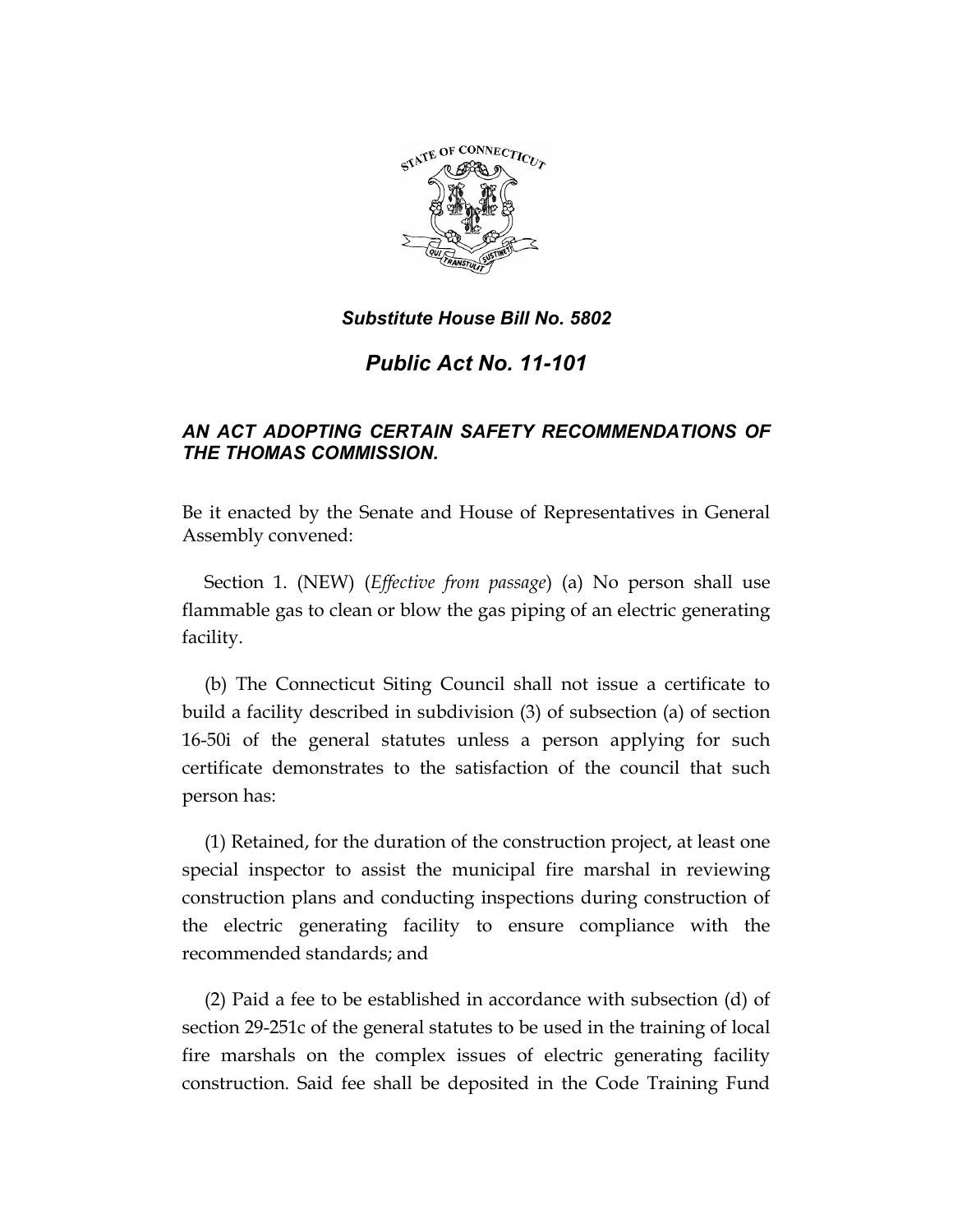

# *Public Act No. 11-101*

## *AN ACT ADOPTING CERTAIN SAFETY RECOMMENDATIONS OF THE THOMAS COMMISSION.*

Be it enacted by the Senate and House of Representatives in General Assembly convened:

Section 1. (NEW) (*Effective from passage*) (a) No person shall use flammable gas to clean or blow the gas piping of an electric generating facility.

(b) The Connecticut Siting Council shall not issue a certificate to build a facility described in subdivision (3) of subsection (a) of section 16-50i of the general statutes unless a person applying for such certificate demonstrates to the satisfaction of the council that such person has:

(1) Retained, for the duration of the construction project, at least one special inspector to assist the municipal fire marshal in reviewing construction plans and conducting inspections during construction of the electric generating facility to ensure compliance with the recommended standards; and

(2) Paid a fee to be established in accordance with subsection (d) of section 29-251c of the general statutes to be used in the training of local fire marshals on the complex issues of electric generating facility construction. Said fee shall be deposited in the Code Training Fund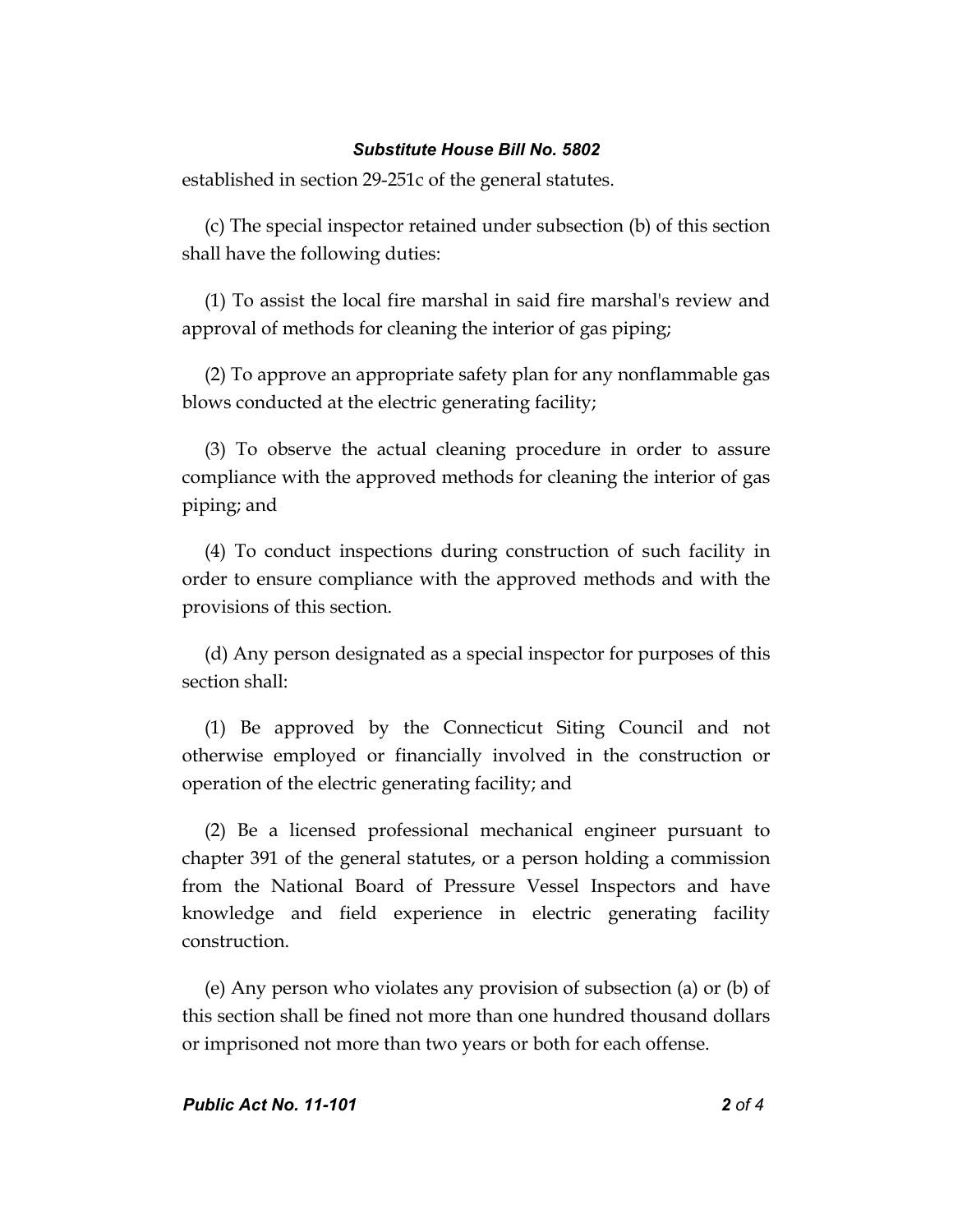established in section 29-251c of the general statutes.

(c) The special inspector retained under subsection (b) of this section shall have the following duties:

(1) To assist the local fire marshal in said fire marshal's review and approval of methods for cleaning the interior of gas piping;

(2) To approve an appropriate safety plan for any nonflammable gas blows conducted at the electric generating facility;

(3) To observe the actual cleaning procedure in order to assure compliance with the approved methods for cleaning the interior of gas piping; and

(4) To conduct inspections during construction of such facility in order to ensure compliance with the approved methods and with the provisions of this section.

(d) Any person designated as a special inspector for purposes of this section shall:

(1) Be approved by the Connecticut Siting Council and not otherwise employed or financially involved in the construction or operation of the electric generating facility; and

(2) Be a licensed professional mechanical engineer pursuant to chapter 391 of the general statutes, or a person holding a commission from the National Board of Pressure Vessel Inspectors and have knowledge and field experience in electric generating facility construction.

(e) Any person who violates any provision of subsection (a) or (b) of this section shall be fined not more than one hundred thousand dollars or imprisoned not more than two years or both for each offense.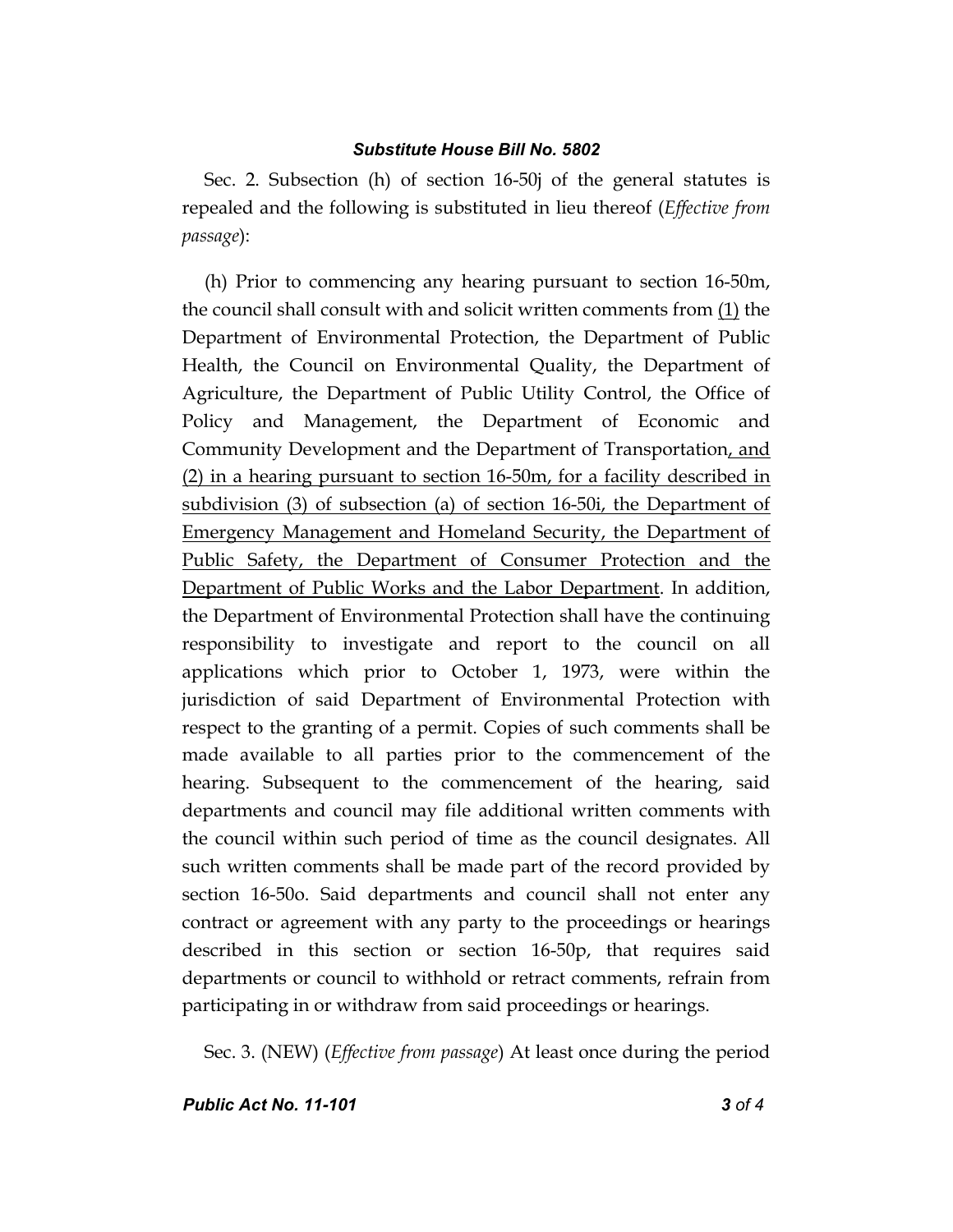Sec. 2. Subsection (h) of section 16-50j of the general statutes is repealed and the following is substituted in lieu thereof (*Effective from passage*):

(h) Prior to commencing any hearing pursuant to section 16-50m, the council shall consult with and solicit written comments from (1) the Department of Environmental Protection, the Department of Public Health, the Council on Environmental Quality, the Department of Agriculture, the Department of Public Utility Control, the Office of Policy and Management, the Department of Economic and Community Development and the Department of Transportation, and (2) in a hearing pursuant to section 16-50m, for a facility described in subdivision (3) of subsection (a) of section 16-50i, the Department of Emergency Management and Homeland Security, the Department of Public Safety, the Department of Consumer Protection and the Department of Public Works and the Labor Department. In addition, the Department of Environmental Protection shall have the continuing responsibility to investigate and report to the council on all applications which prior to October 1, 1973, were within the jurisdiction of said Department of Environmental Protection with respect to the granting of a permit. Copies of such comments shall be made available to all parties prior to the commencement of the hearing. Subsequent to the commencement of the hearing, said departments and council may file additional written comments with the council within such period of time as the council designates. All such written comments shall be made part of the record provided by section 16-50o. Said departments and council shall not enter any contract or agreement with any party to the proceedings or hearings described in this section or section 16-50p, that requires said departments or council to withhold or retract comments, refrain from participating in or withdraw from said proceedings or hearings.

Sec. 3. (NEW) (*Effective from passage*) At least once during the period

*Public Act No. 11-101 3 of 4*